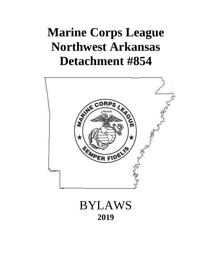# **Marine Corps League Northwest Arkansas Detachment #854**



BYLAWS **2019**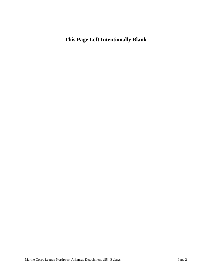## **This Page Left Intentionally Blank**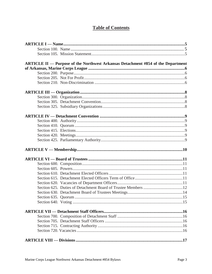## **Table of Contents**

| <b>ARTICLE II — Purpose of the Northwest Arkansas Detachment #854 of the Department</b> |  |
|-----------------------------------------------------------------------------------------|--|
|                                                                                         |  |
|                                                                                         |  |
|                                                                                         |  |
|                                                                                         |  |
|                                                                                         |  |
|                                                                                         |  |
|                                                                                         |  |
|                                                                                         |  |
|                                                                                         |  |
|                                                                                         |  |
|                                                                                         |  |
|                                                                                         |  |
|                                                                                         |  |
|                                                                                         |  |
|                                                                                         |  |
|                                                                                         |  |
|                                                                                         |  |
|                                                                                         |  |
|                                                                                         |  |
|                                                                                         |  |
|                                                                                         |  |
|                                                                                         |  |
|                                                                                         |  |
|                                                                                         |  |
|                                                                                         |  |
|                                                                                         |  |
|                                                                                         |  |
|                                                                                         |  |
|                                                                                         |  |
|                                                                                         |  |
| ARTICLE VIII — Divisions …………………………………………………………………………………………17                           |  |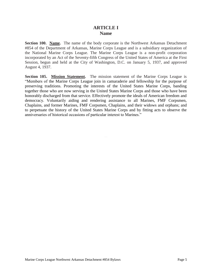## **ARTICLE I Name**

**Section 100. Name.** The name of the body corporate is the Northwest Arkansas Detachment #854 of the Department of Arkansas, Marine Corps League and is a subsidiary organization of the National Marine Corps League. The Marine Corps League is a non-profit corporation incorporated by an Act of the Seventy-fifth Congress of the United States of America at the First Session, begun and held at the City of Washington, D.C. on January 5, 1937, and approved August 4, 1937.

**Section 105. Mission Statement.** The mission statement of the Marine Corps League is "Members of the Marine Corps League join in camaraderie and fellowship for the purpose of preserving traditions. Promoting the interests of the United States Marine Corps, banding together those who are now serving in the United States Marine Corps and those who have been honorably discharged from that service. Effectively promote the ideals of American freedom and democracy. Voluntarily aiding and rendering assistance to all Marines, FMF Corpsmen, Chaplains, and former Marines, FMF Corpsmen, Chaplains, and their widows and orphans; and to perpetuate the history of the United States Marine Corps and by fitting acts to observe the anniversaries of historical occasions of particular interest to Marines."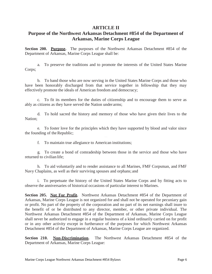#### **ARTICLE II**

## **Purpose of the Northwest Arkansas Detachment #854 of the Department of Arkansas, Marine Corps League**

**Section 200. Purpose.** The purposes of the Northwest Arkansas Detachment #854 of the Department of Arkansas, Marine Corps League shall be:

a. To preserve the traditions and to promote the interests of the United States Marine Corps;

b. To band those who are now serving in the United States Marine Corps and those who have been honorably discharged from that service together in fellowship that they may effectively promote the ideals of American freedom and democracy;

c. To fit its members for the duties of citizenship and to encourage them to serve as ably as citizens as they have served the Nation under arms;

d. To hold sacred the history and memory of those who have given their lives to the Nation;

e. To foster love for the principles which they have supported by blood and valor since the founding of the Republic;

f. To maintain true allegiance to American institutions;

g. To create a bond of comradeship between those in the service and those who have returned to civilian life;

h. To aid voluntarily and to render assistance to all Marines, FMF Corpsman, and FMF Navy Chaplains, as well as their surviving spouses and orphans; and

i. To perpetuate the history of the United States Marine Corps and by fitting acts to observe the anniversaries of historical occasions of particular interest to Marines.

**Section 205. Not For Profit.** Northwest Arkansas Detachment #854 of the Department of Arkansas, Marine Corps League is not organized for and shall not be operated for pecuniary gain or profit. No part of the property of the corporation and no part of its net earnings shall inure to the benefit of or be distributed to any director, member, or other private individual. The Northwest Arkansas Detachment #854 of the Department of Arkansas, Marine Corps League shall never be authorized to engage in a regular business of a kind ordinarily carried on for profit or in any other activity except in furtherance of the purposes for which Northwest Arkansas Detachment #854 of the Department of Arkansas, Marine Corps League are organized.

**Section 210. Non-Discrimination.** The Northwest Arkansas Detachment #854 of the Department of Arkansas, Marine Corps League: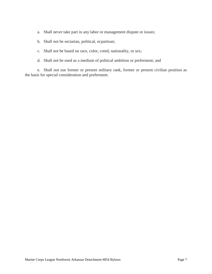- a. Shall never take part in any labor or management dispute or issues;
- b. Shall not be sectarian, political, orpartisan;
- c. Shall not be based on race, color, creed, nationality, or sex;
- d. Shall not be used as a medium of political ambition or preferment; and

e. Shall not use former or present military rank, former or present civilian position as the basis for special consideration and preferment.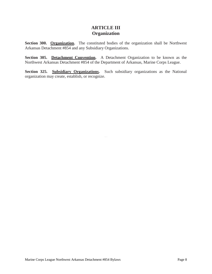## **ARTICLE III Organization**

Section 300. **Organization**. The constituted bodies of the organization shall be Northwest Arkansas Detachment #854 and any Subsidiary Organizations.

**Section 305.** Detachment Convention. A Detachment Organization to be known as the Northwest Arkansas Detachment #854 of the Department of Arkansas, Marine Corps League.

**Section 325. Subsidiary Organizations.** Such subsidiary organizations as the National organization may create, establish, or recognize.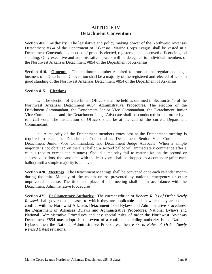## **ARTICLE IV Detachment Convention**

**Section 400. Authority.** The legislative and policy making power of the Northwest Arkansas Detachment #854 of the Department of Arkansas, Marine Corps League shall be vested in a Detachment Convention composed of properly elected, registered, and approved officers in good standing. Only executive and administrative powers will be delegated to individual members of the Northwest Arkansas Detachment #854 of the Department of Arkansas.

**Section 410. Quorum.** The minimum number required to transact the regular and legal business of a Detachment Convention shall be a majority of the registered and elected officers in good standing of the Northwest Arkansas Detachment #854 of the Department of Arkansas.

#### **Section 415. Elections.**

a. The election of Detachment Officers shall be held as outlined in Section 2045 of the Northwest Arkansas Detachment #854 Administrative Procedures. The election of the Detachment Commandant, the Detachment Senior Vice Commandant, the Detachment Junior Vice Commandant, and the Detachment Judge Advocate shall be conducted in this order by a roll call vote. The Installation of Officers shall be at the call of the current Department Commandant.

required to elect the Detachment Commandant, Detachment Senior Vice Commandant, b. A majority of the Detachment members votes cast at the Detachment meeting is Detachment Junior Vice Commandant, and Detachment Judge Advocate. When a simple majority is not obtained on the first ballot, a second ballot will immediately commence after a caucus (not to exceed ten minutes). Should a majority fail to materialize on the second or successive ballots, the candidate with the least votes shall be dropped as a contender (after each ballot) until a simple majority is achieved.

**Section 420. Meetings.** The Detachment Meetings shall be convened once each calendar month during the third Monday of the month unless prevented by national emergency or other unpreventable cause. The time and place of the meeting shall be in accordance with the Detachment Administrative Procedures.

**Section 425. Parliamentary Authority.** The current edition of *Roberts Rules of Order Newly Revised* shall govern in all cases to which they are applicable and in which they are not in conflict with the Northwest Arkansas Detachment #854 Bylaws and Administrative Procedures, the Department of Arkansas Bylaws and Administrative Procedures, National Bylaws and National Administrative Procedures and any special rules of order the Northwest Arkansas Detachment #854 may adopt. In the event of a conflict, the ruling authority is the National Bylaws, then the National Administrative Procedures, then *Roberts Rules of Order Newly Revised* (latest revision).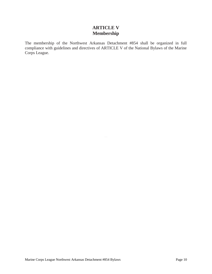## **ARTICLE V Membership**

The membership of the Northwest Arkansas Detachment #854 shall be organized in full compliance with guidelines and directives of ARTICLE V of the National Bylaws of the Marine Corps League.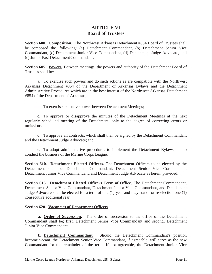## **ARTICLE VI Board of Trustees**

**Section 600. Composition.** The Northwest Arkansas Detachment #854 Board of Trustees shall be composed the following: (a) Detachment Commandant, (b) Detachment Senior Vice Commandant, (c) Detachment Junior Vice Commandant, (d) Detachment Judge Advocate, and (e) Junior Past DetachmentCommandant.

**Section 605. Powers.** Between meetings, the powers and authority of the Detachment Board of Trustees shall be:

a. To exercise such powers and do such actions as are compatible with the Northwest Arkansas Detachment #854 of the Department of Arkansas Bylaws and the Detachment Administrative Procedures which are in the best interest of the Northwest Arkansas Detachment #854 of the Department of Arkansas;

b. To exercise executive power between Detachment Meetings;

c. To approve or disapprove the minutes of the Detachment Meetings at the next regularly scheduled meeting of the Detachment, only to the degree of correcting errors or omissions;

d. To approve all contracts, which shall then be signed by the Detachment Commandant and the Detachment Judge Advocate; and

e. To adopt administrative procedures to implement the Detachment Bylaws and to conduct the business of the Marine Corps League.

**Section 610. Detachment Elected Officers.** The Detachment Officers to be elected by the Detachment shall be: Detachment Commandant, Detachment Senior Vice Commandant, Detachment Junior Vice Commandant, and Detachment Judge Advocate as herein provided.

**Section 615. Detachment Elected Officers Term of Office.** The Detachment Commandant, Detachment Senior Vice Commandant, Detachment Junior Vice Commandant, and Detachment Judge Advocate shall be elected for a term of one (1) year and may stand for re-election one (1) consecutive additionalyear.

#### **Section 620. Vacancies of Department Officers**

a. **Order of Succession**. The order of succession to the office of the Detachment Commandant shall be; first, Detachment Senior Vice Commandant and second, Detachment Junior Vice Commandant.

b. **Detachment Commandant.** Should the Detachment Commandant's position become vacant, the Detachment Senior Vice Commandant, if agreeable, will serve as the new Commandant for the remainder of the term. If not agreeable, the Detachment Junior Vice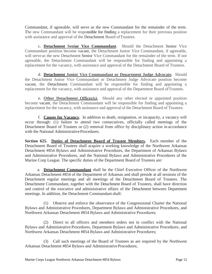Commandant, if agreeable, will serve as the new Commandant for the remainder of the term. The new Commandant will be responsible for finding a replacement for their previous position with assistance and approval of the Detachment Board of Trustees.

c. **Detachment Senior Vice Commandant.** Should the Detachment Senior Vice Commandant position become vacant, the Detachment Junior Vice Commandant, if agreeable, will serve as the new Detachment Senior Vice Commandant for the remainder of the term. If not agreeable, the Detachment Commandant will be responsible for finding and appointing a replacement for the vacancy, with assistance and approval of the Detachment Board of Trustees.

d. **Detachment Junior Vice Commandant or Department Judge Advocate.** Should the Detachment Junior Vice Commandant or Detachment Judge Advocate position become vacant, the Detachment Commandant will be responsible for finding and appointing a replacement for the vacancy, with assistance and approval of the Department Board ofTrustees.

e. **Other Detachment Officer(s).** Should any other elected or appointed position become vacant, the Detachment Commandant will be responsible for finding and appointing a replacement for the vacancy, with assistance and approval of the Detachment Board of Trustees.

f. **Causes for Vacancy.** In addition to death, resignation, or incapacity, a vacancy will occur through: (1) failure to attend two consecutives, officially called meetings of the Detachment Board of Trustees or (2) removal from office by disciplinary action in accordance with the National Administrative Procedures.

**Section 625. Duties of Detachment Board of Trustee Members.** Each member of the Detachment Board of Trustees shall acquire a working knowledge of the Northwest Arkansas Detachment #854 Bylaws and Administrative Procedures, the Department of Arkansas Bylaws and Administrative Procedures, and the National Bylaws and Administrative Procedures of the Marine Corp League. The specific duties of the Department Board of Trustees are:

a. **Detachment Commandant** shall be the Chief Executive Officer of the Northwest Arkansas Detachment #854 of the Department of Arkansas and shall preside at all sessions of the Detachment regular meetings and all meetings of the Detachment Board of Trustees. The Detachment Commandant, together with the Detachment Board of Trustees, shall have direction and control of the executive and administrative affairs of the Detachment between Department meetings. In addition, the Detachment Commandant shall:

(1) Observe and enforce the observance of the Congressional Charter the National Bylaws and Administrative Procedures, Department Bylaws and Administrative Procedures, and Northwest Arkansas Detachment #854 Bylaws and Administrative Procedures;

(2) Direct to all officers and members orders not in conflict with the National Bylaws and Administrative Procedures, Department Bylaws and Administrative Procedures, and Northwest Arkansas Detachment #854 Bylaws and Administrative Procedures;

(3) Call such meetings of the Board of Trustees as are required by the Northwest Arkansas Detachment #854 Bylaws and Administrative Procedures;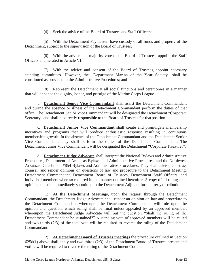(4) Seek the advice of the Board of Trustees andStaff Officers;

(5) With the Detachment Paymaster, have custody of all funds and property of the Detachment, subject to the supervision of the Board of Trustees;

(6) With the advice and majority vote of the Board of Trustees, appoint the Staff Officers enumerated in Article VII;

(7) With the advice and consent of the Board of Trustees, appoint necessary standing committees. However, the "Department Marine of the Year Society" shall be constituted as provided in the Administrative Procedures; and

(8) Represent the Detachment at all social functions and ceremonies in a manner that will enhance the dignity, honor, and prestige of the Marine Corps League.

b. **Detachment Senior Vice Commandant** shall assist the Detachment Commandant and during the absence or illness of the Detachment Commandant perform the duties of that office. The Detachment Senior Vice Commandant will be designated the Detachment "Corporate Secretary" and shall be directly responsible to the Board of Trustees for thatposition.

membership growth. In the absence of the Detachment Commandant and the Detachment Senior c. **Detachment Junior Vice Commandant** shall create and promulgate membership incentives and programs that will produce enthusiastic response resulting in continuous Vice Commandant, they shall perform the duties of the Detachment Commandant. The Detachment Junior Vice Commandant will be designated the Detachment "Corporate Treasurer".

d. **Detachment Judge Advocate** shall interpret the National Bylaws and Administrative Procedures, Department of Arkansas Bylaws and Administrative Procedures, and the Northwest Arkansas Detachment #854 Bylaws and Administrative Procedures. They shall advise, construe, counsel, and render opinions on questions of law and procedure to the Detachment Meeting, Detachment Commandant, Detachment Board of Trustees, Detachment Staff Officers, and individual members when so required in the manner outlined hereafter. A copy of all rulings and opinions must be immediately submitted to the Detachment Adjutant for quarterly distribution.

(1) **At the Detachment Meetings**, upon the request through the Detachment Commandant, the Detachment Judge Advocate shall render an opinion on law and procedure to the Detachment Commandant whereupon the Detachment Commandant will rule upon the opinion and question, which ruling shall be final unless appealed by an approved member, whereupon the Detachment Judge Advocate will put the question "Shall the ruling of the Detachment Commandant be sustained?" A standing vote of approved members will be called and two thirds (2/3) of the total vote will be required to reverse the ruling of the Detachment Commandant.

(2) **At Detachment Board of Trustees meetings** the procedure outlined in Section 625d(1) above shall apply and two thirds (2/3) of the Detachment Board of Trustees present and voting will be required to reverse the ruling of theDetachment Commandant.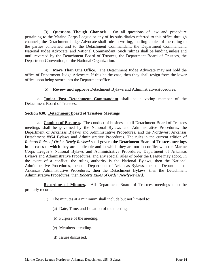(3) **Questions Though Channels.** On all questions of law and procedure pertaining to the Marine Corps League or any of its subsidiaries referred to this office through channels, the Detachment Judge Advocate shall rule in writing, mailing copies of the ruling to the parties concerned and to the Detachment Commandant, the Department Commandant, National Judge Advocate, and National Commandant. Such rulings shall be binding unless and until reversed by the Detachment Board of Trustees, the Department Board of Trustees, the DepartmentConvention, or the National Organization.

(4) **More Than One Office.** The Detachment Judge Advocate may not hold the office of Department Judge Advocate. If this be the case, then they shall resign from the lower office upon being sworn into the Department office.

(5) **Review and approve** Detachment Bylaws and Administrative Procedures.

e. **Junior Past Detachment Commandant** shall be a voting member of the Detachment Board of Trustees.

#### **Section 630. Detachment Board of Trustees Meetings**

Detachment #854 Bylaws and Administrative Procedures. The rules in the current edition of a. **Conduct of Business.** The conduct of business at all Detachment Board of Trustees meetings shall be governed by the National Bylaws and Administrative Procedures, the Department of Arkansas Bylaws and Administrative Procedures, and the Northwest Arkansas *Roberts Rules of Order Newly Revised* shall govern the Detachment Board of Trustees meetings in all cases to which they are applicable and in which they are not in conflict with the Marine Corps League's National Bylaws and Administrative Procedures, Department of Arkansas Bylaws and Administrative Procedures, and any special rules of order the League may adopt. In the event of a conflict, the ruling authority is the National Bylaws, then the National Administrative Procedures, then the Department of Arkansas Bylaws, then the Department of Arkansas Administrative Procedures, then the Detachment Bylaws, then the Detachment Administrative Procedures, then *Roberts Rules of Order NewlyRevised*.

b. **Recording of Minutes.** All Department Board of Trustees meetings must be properly recorded.

- (1) The minutes at a minimum shall include but not limited to:
	- (a) Date, Time, and Location of the meeting.
	- (b) Purpose of the meeting.
	- (c) Members attending.
	- (d) Issues discussed.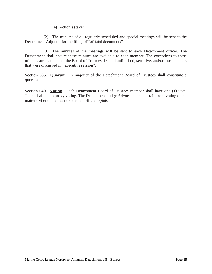(e) Action(s) taken.

(2) The minutes of all regularly scheduled and special meetings will be sent to the Detachment Adjutant for the filing of "official documents".

(3) The minutes of the meetings will be sent to each Detachment officer. The Detachment shall ensure these minutes are available to each member. The exceptions to these minutes are matters that the Board of Trustees deemed unfinished, sensitive, and/or those matters that were discussed in "executive session".

Section 635. **Quorum.** A majority of the Detachment Board of Trustees shall constitute a quorum.

**Section 640. Voting.** Each Detachment Board of Trustees member shall have one (1) vote. There shall be no proxy voting. The Detachment Judge Advocate shall abstain from voting on all matters wherein he has rendered an official opinion.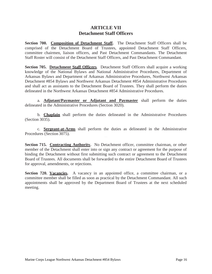## **ARTICLE VII Detachment Staff Officers**

**Section 700. Composition of Detachment Staff.** The Detachment Staff Officers shall be comprised of the Detachment Board of Trustees, appointed Detachment Staff Officers, committee chairmen, liaison officers, and Past Detachment Commandants. The Detachment Staff Roster will consist of the Detachment Staff Officers, and Past Detachment Commandant.

**Section 705. Detachment Staff Officers**. Detachment Staff Officers shall acquire a working knowledge of the National Bylaws and National Administrative Procedures, Department of Arkansas Bylaws and Department of Arkansas Administrative Procedures, Northwest Arkansas Detachment #854 Bylaws and Northwest Arkansas Detachment #854 Administrative Procedures and shall act as assistants to the Detachment Board of Trustees. They shall perform the duties delineated in the Northwest Arkansas Detachment #854 Administrative Procedures.

a. **Adjutant/Paymaster or Adjutant and Paymaster** shall perform the duties delineated in the Administrative Procedures (Section 3020).

b. **Chaplain** shall perform the duties delineated in the Administrative Procedures (Section 3035).

c. **Sergeant-at-Arms** shall perform the duties as delineated in the Administrative Procedures (Section 3075).

Section 715. Contracting Authority. No Detachment officer, committee chairman, or other member of the Detachment shall enter into or sign any contract or agreement for the purpose of binding the Detachment without first submitting such contract or agreement to the Detachment Board of Trustees. All documents shall be forwarded to the entire Detachment Board of Trustees for approval, amendments, or rejections.

**Section 720. Vacancies.** A vacancy in an appointed office, a committee chairman, or a committee member shall be filled as soon as practical by the Detachment Commandant. All such appointments shall be approved by the Department Board of Trustees at the next scheduled meeting.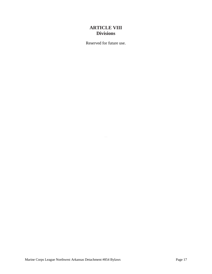## **ARTICLE VIII Divisions**

Reserved for future use.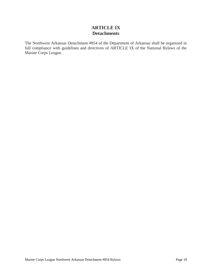## **ARTICLE IX Detachments**

The Northwest Arkansas Detachment #854 of the Department of Arkansas shall be organized in full compliance with guidelines and directives of ARTICLE IX of the National Bylaws of the Marine Corps League.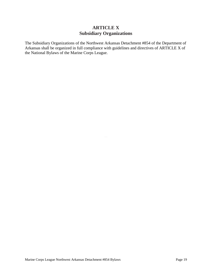## **ARTICLE X Subsidiary Organizations**

The Subsidiary Organizations of the Northwest Arkansas Detachment #854 of the Department of Arkansas shall be organized in full compliance with guidelines and directives of ARTICLE X of the National Bylaws of the Marine Corps League.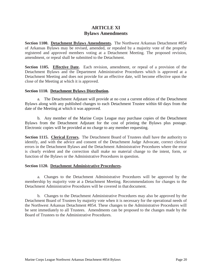## **ARTICLE XI Bylaws Amendments**

**Section 1100. Detachment Bylaws Amendments.** The Northwest Arkansas Detachment #854 of Arkansas Bylaws may be revised, amended, or repealed by a majority vote of the properly registered and approved members voting at a Detachment Meeting. The proposed revision, amendment, or repeal shall be submitted to the Detachment.

**Section 1105. Effective Date.** Each revision, amendment, or repeal of a provision of the Detachment Bylaws and the Department Administrative Procedures which is approved at a Detachment Meeting and does not provide for an effective date, will become effective upon the close of the Meeting at which it is approved.

#### **Section 1110. Detachment Bylaws Distribution.**

a. The Detachment Adjutant will provide at no cost a current edition of the Detachment Bylaws along with any published changes to each Detachment Trustee within 60 days from the date of the Meeting at which it was approved.

b. Any member of the Marine Corps League may purchase copies of the Detachment Bylaws from the Detachment Adjutant for the cost of printing the Bylaws plus postage. Electronic copies will be provided at no charge to any member requesting.

Section 1115. Clerical Errors. The Detachment Board of Trustees shall have the authority to identify, and with the advice and consent of the Detachment Judge Advocate, correct clerical errors in the Detachment Bylaws and the Detachment Administrative Procedures where the error is clearly evident and the correction shall make no material change to the intent, form, or function of the Bylaws or the Administrative Procedures in question.

#### **Section 1120. Detachment Administrative Procedures.**

a. Changes to the Detachment Administrative Procedures will be approved by the membership by majority vote at a Detachment Meeting. Recommendations for changes to the Detachment Administrative Procedures will be covered in that document.

b. Changes to the Detachment Administrative Procedures may also be approved by the Detachment Board of Trustees by majority vote when it is necessary for the operational needs of the Northwest Arkansas Detachment #854. These changes to the Administrative Procedures will be sent immediately to all Trustees. Amendments can be proposed to the changes made by the Board of Trustees to the Administrative Procedures.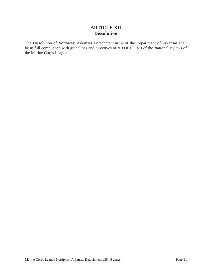## **ARTICLE XII Dissolution**

The Dissolution of Northwest Arkansas Detachment #854 of the Department of Arkansas shall be in full compliance with guidelines and directives of ARTICLE XII of the National Bylaws of the Marine Corps League.